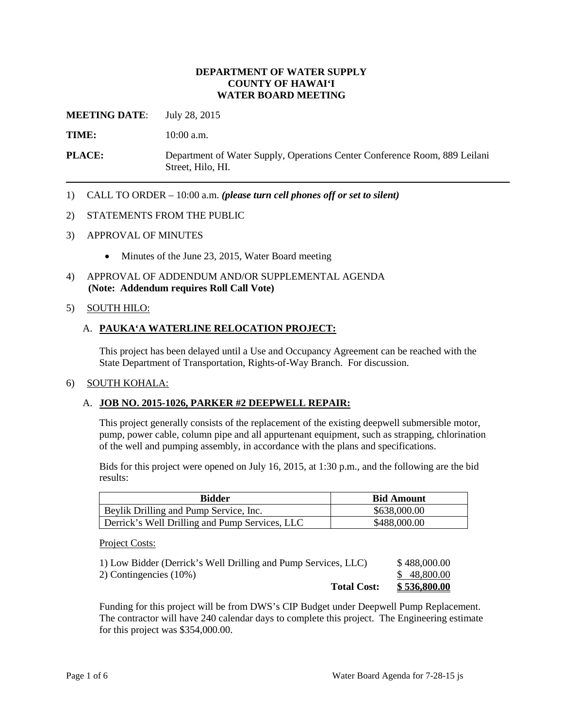#### **DEPARTMENT OF WATER SUPPLY COUNTY OF HAWAI'I WATER BOARD MEETING**

**MEETING DATE:** July 28, 2015

TIME: **10:00 a.m.** 

**PLACE:** Department of Water Supply, Operations Center Conference Room, 889 Leilani Street, Hilo, HI.

1) CALL TO ORDER – 10:00 a.m. *(please turn cell phones off or set to silent)* 

#### 2) STATEMENTS FROM THE PUBLIC

- 3) APPROVAL OF MINUTES
	- Minutes of the June 23, 2015, Water Board meeting
- 4) APPROVAL OF ADDENDUM AND/OR SUPPLEMENTAL AGENDA **(Note: Addendum requires Roll Call Vote)**

### 5) SOUTH HILO:

### A. **PAUKA'A WATERLINE RELOCATION PROJECT:**

This project has been delayed until a Use and Occupancy Agreement can be reached with the State Department of Transportation, Rights-of-Way Branch. For discussion.

#### 6) SOUTH KOHALA:

### A. **JOB NO. 2015-1026, PARKER #2 DEEPWELL REPAIR:**

This project generally consists of the replacement of the existing deepwell submersible motor, pump, power cable, column pipe and all appurtenant equipment, such as strapping, chlorination of the well and pumping assembly, in accordance with the plans and specifications.

Bids for this project were opened on July 16, 2015, at 1:30 p.m., and the following are the bid results:

| <b>Bidder</b>                                  | <b>Bid Amount</b> |
|------------------------------------------------|-------------------|
| Beylik Drilling and Pump Service, Inc.         | \$638,000.00      |
| Derrick's Well Drilling and Pump Services, LLC | \$488,000.00      |

Project Costs:

| 2) Contingencies (10%) | \$48,800.00  |
|------------------------|--------------|
| <b>Total Cost:</b>     | \$536,800.00 |

 The contractor will have 240 calendar days to complete this project. The Engineering estimate Funding for this project will be from DWS's CIP Budget under Deepwell Pump Replacement. for this project was \$354,000.00.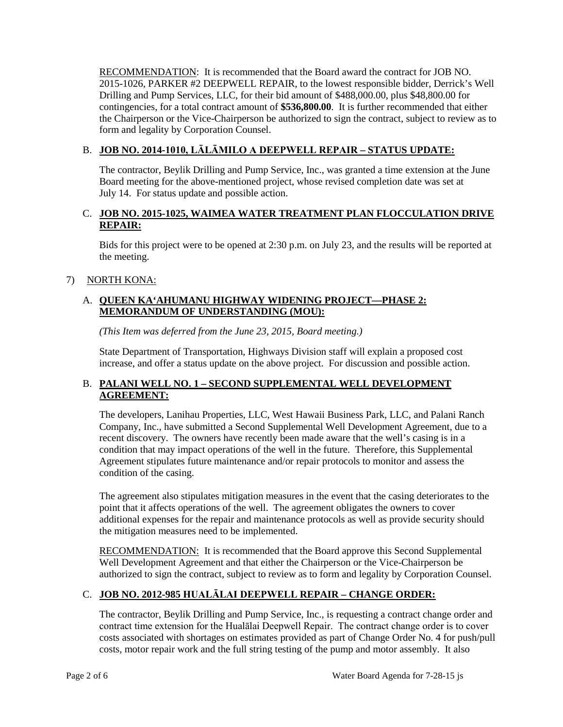RECOMMENDATION: It is recommended that the Board award the contract for JOB NO. Drilling and Pump Services, LLC, for their bid amount of \$488,000.00, plus \$48,800.00 for contingencies, for a total contract amount of **\$536,800.00**. It is further recommended that either the Chairperson or the Vice-Chairperson be authorized to sign the contract, subject to review as to 2015-1026, PARKER #2 DEEPWELL REPAIR, to the lowest responsible bidder, Derrick's Well form and legality by Corporation Counsel.

# B. **JOB NO. 2014-1010, LĀLĀMILO A DEEPWELL REPAIR – STATUS UPDATE:**

 July 14. For status update and possible action. The contractor, Beylik Drilling and Pump Service, Inc., was granted a time extension at the June Board meeting for the above-mentioned project, whose revised completion date was set at

## C. **JOB NO. 2015-1025, WAIMEA WATER TREATMENT PLAN FLOCCULATION DRIVE REPAIR:**

 Bids for this project were to be opened at 2:30 p.m. on July 23, and the results will be reported at the meeting.

# 7) NORTH KONA:

# A. **QUEEN KA'AHUMANU HIGHWAY WIDENING PROJECT—PHASE 2: MEMORANDUM OF UNDERSTANDING (MOU):**

*(This Item was deferred from the June 23, 2015, Board meeting.)* 

State Department of Transportation, Highways Division staff will explain a proposed cost increase, and offer a status update on the above project. For discussion and possible action.

## B. **PALANI WELL NO. 1 – SECOND SUPPLEMENTAL WELL DEVELOPMENT AGREEMENT:**

 recent discovery. The owners have recently been made aware that the well's casing is in a Agreement stipulates future maintenance and/or repair protocols to monitor and assess the condition of the casing. The developers, Lanihau Properties, LLC, West Hawaii Business Park, LLC, and Palani Ranch Company, Inc., have submitted a Second Supplemental Well Development Agreement, due to a condition that may impact operations of the well in the future. Therefore, this Supplemental

 point that it affects operations of the well. The agreement obligates the owners to cover The agreement also stipulates mitigation measures in the event that the casing deteriorates to the additional expenses for the repair and maintenance protocols as well as provide security should the mitigation measures need to be implemented.

RECOMMENDATION: It is recommended that the Board approve this Second Supplemental Well Development Agreement and that either the Chairperson or the Vice-Chairperson be authorized to sign the contract, subject to review as to form and legality by Corporation Counsel.

# C. **JOB NO. 2012-985 HUALĀLAI DEEPWELL REPAIR – CHANGE ORDER:**

 contract time extension for the Hualālai Deepwell Repair. The contract change order is to cover costs associated with shortages on estimates provided as part of Change Order No. 4 for push/pull The contractor, Beylik Drilling and Pump Service, Inc., is requesting a contract change order and costs, motor repair work and the full string testing of the pump and motor assembly. It also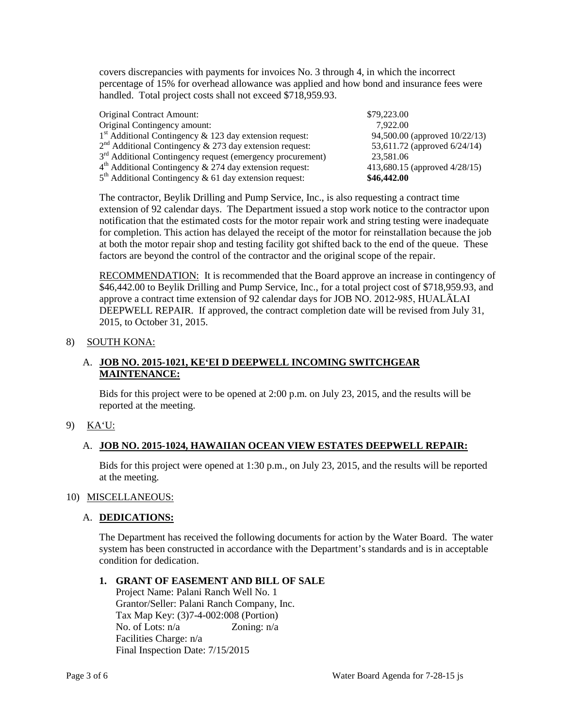covers discrepancies with payments for invoices No. 3 through 4, in which the incorrect percentage of 15% for overhead allowance was applied and how bond and insurance fees were handled. Total project costs shall not exceed \$718,959.93.

| Original Contract Amount:                                              | \$79,223.00                      |
|------------------------------------------------------------------------|----------------------------------|
| Original Contingency amount:                                           | 7.922.00                         |
| $1st$ Additional Contingency & 123 day extension request:              | 94,500.00 (approved 10/22/13)    |
| $2nd$ Additional Contingency & 273 day extension request:              | 53,611.72 (approved 6/24/14)     |
| 3 <sup>rd</sup> Additional Contingency request (emergency procurement) | 23,581.06                        |
| $4th$ Additional Contingency & 274 day extension request:              | 413,680.15 (approved $4/28/15$ ) |
| $5th$ Additional Contingency & 61 day extension request:               | \$46,442.00                      |

 extension of 92 calendar days. The Department issued a stop work notice to the contractor upon notification that the estimated costs for the motor repair work and string testing were inadequate for completion. This action has delayed the receipt of the motor for reinstallation because the job at both the motor repair shop and testing facility got shifted back to the end of the queue. These factors are beyond the control of the contractor and the original scope of the repair. The contractor, Beylik Drilling and Pump Service, Inc., is also requesting a contract time

RECOMMENDATION: It is recommended that the Board approve an increase in contingency of \$46,442.00 to Beylik Drilling and Pump Service, Inc., for a total project cost of \$718,959.93, and approve a contract time extension of 92 calendar days for JOB NO. 2012-985, HUALĀLAI DEEPWELL REPAIR. If approved, the contract completion date will be revised from July 31, 2015, to October 31, 2015.

### 8) SOUTH KONA:

## A. **JOB NO. 2015-1021, KE'EI D DEEPWELL INCOMING SWITCHGEAR MAINTENANCE:**

Bids for this project were to be opened at 2:00 p.m. on July 23, 2015, and the results will be reported at the meeting.

## 9) KA'U:

### A. **JOB NO. 2015-1024, HAWAIIAN OCEAN VIEW ESTATES DEEPWELL REPAIR:**

 Bids for this project were opened at 1:30 p.m., on July 23, 2015, and the results will be reported at the meeting.

### 10) MISCELLANEOUS:

### A. DEDICATIONS:

 The Department has received the following documents for action by the Water Board. The water system has been constructed in accordance with the Department's standards and is in acceptable condition for dedication.

## **1. GRANT OF EASEMENT AND BILL OF SALE**

No. of Lots:  $n/a$  Zoning:  $n/a$  Final Inspection Date: 7/15/2015 Project Name: Palani Ranch Well No. 1 Grantor/Seller: Palani Ranch Company, Inc. Tax Map Key: (3)7-4-002:008 (Portion) Facilities Charge: n/a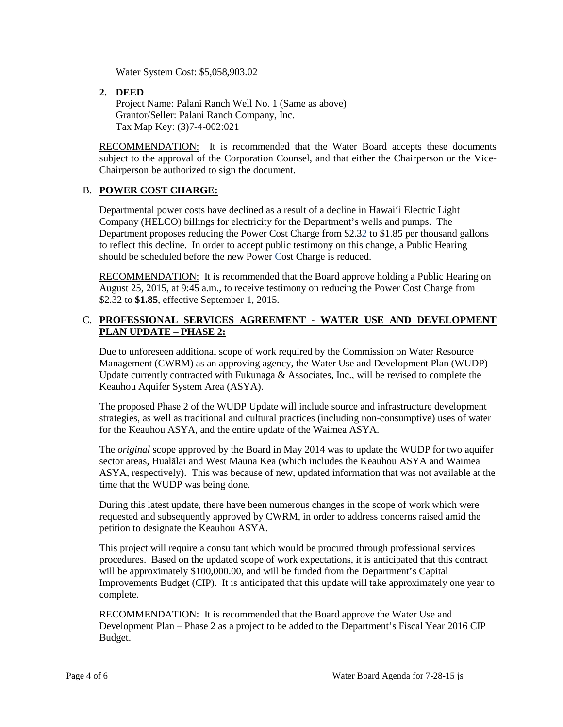Water System Cost: \$5,058,903.02

**2. DEED** 

Project Name: Palani Ranch Well No. 1 (Same as above) Grantor/Seller: Palani Ranch Company, Inc. Tax Map Key: (3)7-4-002:021

RECOMMENDATION: It is recommended that the Water Board accepts these documents subject to the approval of the Corporation Counsel, and that either the Chairperson or the Vice-Chairperson be authorized to sign the document.

## B. **POWER COST CHARGE:**

 to reflect this decline. In order to accept public testimony on this change, a Public Hearing Departmental power costs have declined as a result of a decline in Hawai'i Electric Light Company (HELCO) billings for electricity for the Department's wells and pumps. The Department proposes reducing the Power Cost Charge from \$2.32 to \$1.85 per thousand gallons should be scheduled before the new Power Cost Charge is reduced.

RECOMMENDATION: It is recommended that the Board approve holding a Public Hearing on August 25, 2015, at 9:45 a.m., to receive testimony on reducing the Power Cost Charge from \$2.32 to **\$1.85**, effective September 1, 2015.

### C. **PROFESSIONAL SERVICES AGREEMENT - WATER USE AND DEVELOPMENT PLAN UPDATE – PHASE 2:**

 Management (CWRM) as an approving agency, the Water Use and Development Plan (WUDP) Due to unforeseen additional scope of work required by the Commission on Water Resource Update currently contracted with Fukunaga  $\&$  Associates, Inc., will be revised to complete the Keauhou Aquifer System Area (ASYA).

The proposed Phase 2 of the WUDP Update will include source and infrastructure development strategies, as well as traditional and cultural practices (including non-consumptive) uses of water for the Keauhou ASYA, and the entire update of the Waimea ASYA.

 The *original* scope approved by the Board in May 2014 was to update the WUDP for two aquifer ASYA, respectively). This was because of new, updated information that was not available at the sector areas, Hualālai and West Mauna Kea (which includes the Keauhou ASYA and Waimea time that the WUDP was being done.

During this latest update, there have been numerous changes in the scope of work which were requested and subsequently approved by CWRM, in order to address concerns raised amid the petition to designate the Keauhou ASYA.

This project will require a consultant which would be procured through professional services procedures. Based on the updated scope of work expectations, it is anticipated that this contract will be approximately \$100,000.00, and will be funded from the Department's Capital Improvements Budget (CIP). It is anticipated that this update will take approximately one year to complete.

RECOMMENDATION: It is recommended that the Board approve the Water Use and Development Plan – Phase 2 as a project to be added to the Department's Fiscal Year 2016 CIP Budget.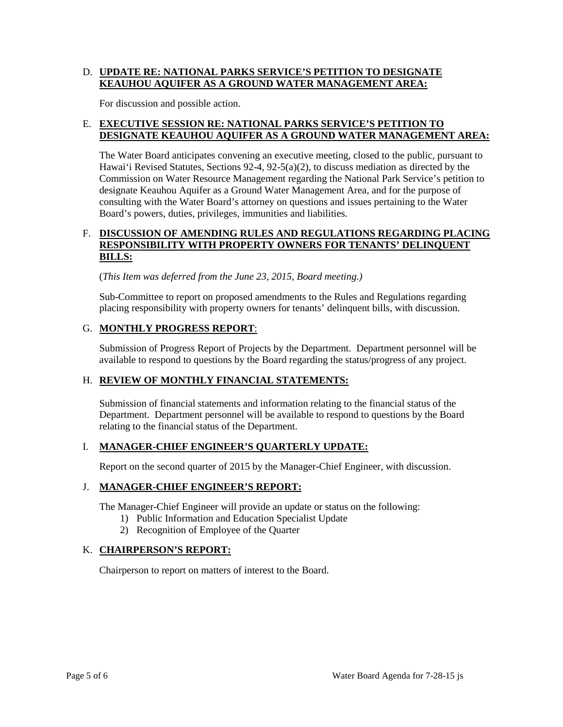### D. **UPDATE RE: NATIONAL PARKS SERVICE'S PETITION TO DESIGNATE KEAUHOU AQUIFER AS A GROUND WATER MANAGEMENT AREA:**

For discussion and possible action.

### E. **EXECUTIVE SESSION RE: NATIONAL PARKS SERVICE'S PETITION TO DESIGNATE KEAUHOU AQUIFER AS A GROUND WATER MANAGEMENT AREA:**

 Hawai'i Revised Statutes, Sections 92-4, 92-5(a)(2), to discuss mediation as directed by the Commission on Water Resource Management regarding the National Park Service's petition to designate Keauhou Aquifer as a Ground Water Management Area, and for the purpose of The Water Board anticipates convening an executive meeting, closed to the public, pursuant to consulting with the Water Board's attorney on questions and issues pertaining to the Water Board's powers, duties, privileges, immunities and liabilities.

### F. DISCUSSION OF AMENDING RULES AND REGULATIONS REGARDING PLACING **RESPONSIBILITY WITH PROPERTY OWNERS FOR TENANTS' DELINQUENT BILLS:**

(*This Item was deferred from the June 23, 2015, Board meeting.)* 

 Sub-Committee to report on proposed amendments to the Rules and Regulations regarding placing responsibility with property owners for tenants' delinquent bills, with discussion.

## G. **MONTHLY PROGRESS REPORT**:

Submission of Progress Report of Projects by the Department. Department personnel will be available to respond to questions by the Board regarding the status/progress of any project.

### H. **REVIEW OF MONTHLY FINANCIAL STATEMENTS:**

 Submission of financial statements and information relating to the financial status of the relating to the financial status of the Department. Department. Department personnel will be available to respond to questions by the Board

## I. **MANAGER-CHIEF ENGINEER'S QUARTERLY UPDATE:**

Report on the second quarter of 2015 by the Manager-Chief Engineer, with discussion.

### J. **MANAGER-CHIEF ENGINEER'S REPORT:**

The Manager-Chief Engineer will provide an update or status on the following:

- 1) Public Information and Education Specialist Update
- 2) Recognition of Employee of the Quarter

### K. **CHAIRPERSON'S REPORT:**

Chairperson to report on matters of interest to the Board.